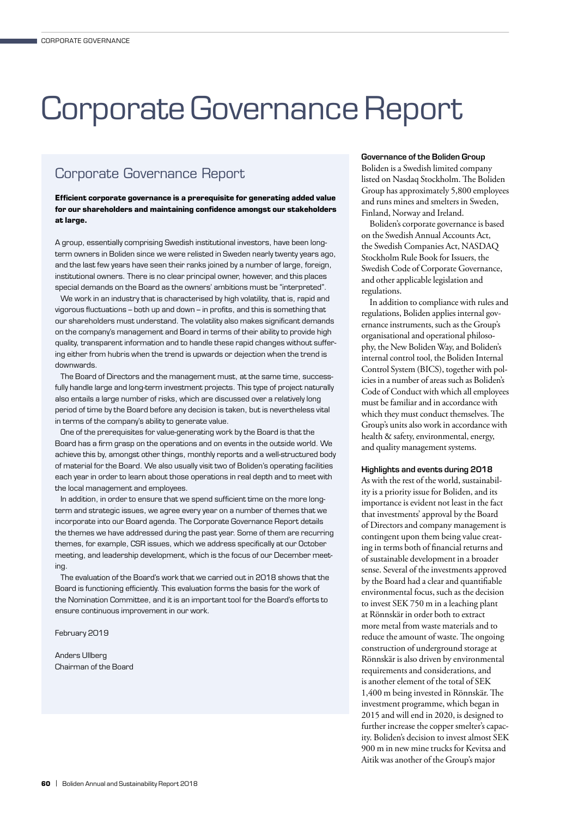# Corporate Governance Report

# Corporate Governance Report

**Efficient corporate governance is a prerequisite for generating added value for our shareholders and maintaining confidence amongst our stakeholders at large.**

A group, essentially comprising Swedish institutional investors, have been longterm owners in Boliden since we were relisted in Sweden nearly twenty years ago, and the last few years have seen their ranks joined by a number of large, foreign, institutional owners. There is no clear principal owner, however, and this places special demands on the Board as the owners' ambitions must be "interpreted".

We work in an industry that is characterised by high volatility, that is, rapid and vigorous fluctuations – both up and down – in profits, and this is something that our shareholders must understand. The volatility also makes significant demands on the company's management and Board in terms of their ability to provide high quality, transparent information and to handle these rapid changes without suffering either from hubris when the trend is upwards or dejection when the trend is downwards.

The Board of Directors and the management must, at the same time, successfully handle large and long-term investment projects. This type of project naturally also entails a large number of risks, which are discussed over a relatively long period of time by the Board before any decision is taken, but is nevertheless vital in terms of the company's ability to generate value.

One of the prerequisites for value-generating work by the Board is that the Board has a firm grasp on the operations and on events in the outside world. We achieve this by, amongst other things, monthly reports and a well-structured body of material for the Board. We also usually visit two of Boliden's operating facilities each year in order to learn about those operations in real depth and to meet with the local management and employees.

In addition, in order to ensure that we spend sufficient time on the more longterm and strategic issues, we agree every year on a number of themes that we incorporate into our Board agenda. The Corporate Governance Report details the themes we have addressed during the past year. Some of them are recurring themes, for example, CSR issues, which we address specifically at our October meeting, and leadership development, which is the focus of our December meeting.

The evaluation of the Board's work that we carried out in 2018 shows that the Board is functioning efficiently. This evaluation forms the basis for the work of the Nomination Committee, and it is an important tool for the Board's efforts to ensure continuous improvement in our work.

February 2019

Anders Ullberg Chairman of the Board

#### Governance of the Boliden Group

Boliden is a Swedish limited company listed on Nasdaq Stockholm. The Boliden Group has approximately 5,800 employees and runs mines and smelters in Sweden, Finland, Norway and Ireland.

Boliden's corporate governance is based on the Swedish Annual Accounts Act, the Swedish Companies Act, NASDAQ Stockholm Rule Book for Issuers, the Swedish Code of Corporate Governance, and other applicable legislation and regulations.

In addition to compliance with rules and regulations, Boliden applies internal governance instruments, such as the Group's organisational and operational philosophy, the New Boliden Way, and Boliden's internal control tool, the Boliden Internal Control System (BICS), together with policies in a number of areas such as Boliden's Code of Conduct with which all employees must be familiar and in accordance with which they must conduct themselves. The Group's units also work in accordance with health & safety, environmental, energy, and quality management systems.

#### Highlights and events during 2018

As with the rest of the world, sustainability is a priority issue for Boliden, and its importance is evident not least in the fact that investments' approval by the Board of Directors and company management is contingent upon them being value creating in terms both of financial returns and of sustainable development in a broader sense. Several of the investments approved by the Board had a clear and quantifiable environmental focus, such as the decision to invest SEK 750 m in a leaching plant at Rönnskär in order both to extract more metal from waste materials and to reduce the amount of waste. The ongoing construction of underground storage at Rönnskär is also driven by environmental requirements and considerations, and is another element of the total of SEK 1,400 m being invested in Rönnskär. The investment programme, which began in 2015 and will end in 2020, is designed to further increase the copper smelter's capacity. Boliden's decision to invest almost SEK 900 m in new mine trucks for Kevitsa and Aitik was another of the Group's major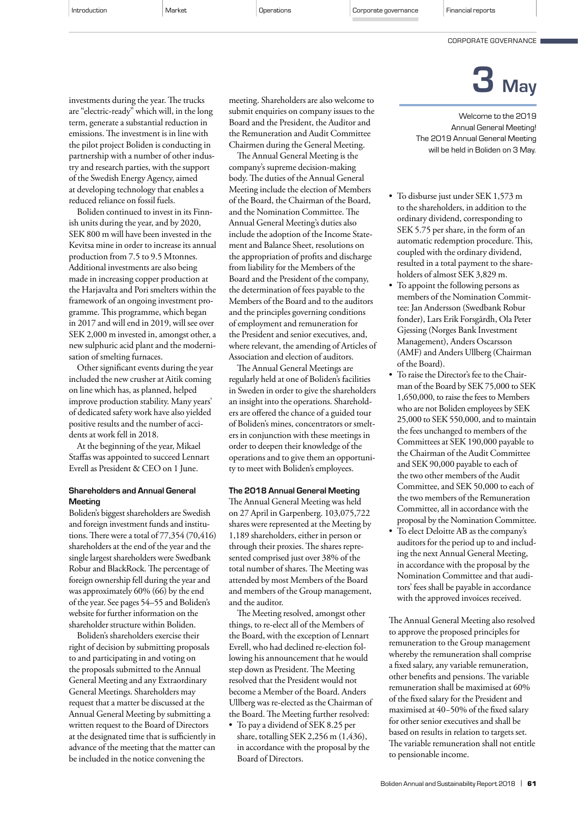CORPORATE GOVERNANCE



are "electric-ready" which will, in the long term, generate a substantial reduction in emissions. The investment is in line with the pilot project Boliden is conducting in partnership with a number of other industry and research parties, with the support of the Swedish Energy Agency, aimed at developing technology that enables a reduced reliance on fossil fuels.

investments during the year. The trucks

Boliden continued to invest in its Finnish units during the year, and by 2020, SEK 800 m will have been invested in the Kevitsa mine in order to increase its annual production from 7.5 to 9.5 Mtonnes. Additional investments are also being made in increasing copper production at the Harjavalta and Pori smelters within the framework of an ongoing investment programme. This programme, which began in 2017 and will end in 2019, will see over SEK 2,000 m invested in, amongst other, a new sulphuric acid plant and the modernisation of smelting furnaces.

Other significant events during the year included the new crusher at Aitik coming on line which has, as planned, helped improve production stability. Many years' of dedicated safety work have also yielded positive results and the number of accidents at work fell in 2018.

At the beginning of the year, Mikael Staffas was appointed to succeed Lennart Evrell as President & CEO on 1 June.

#### Shareholders and Annual General **Meeting**

Boliden's biggest shareholders are Swedish and foreign investment funds and institutions. There were a total of 77,354 (70,416) shareholders at the end of the year and the single largest shareholders were Swedbank Robur and BlackRock. The percentage of foreign ownership fell during the year and was approximately 60% (66) by the end of the year. See pages 54–55 and Boliden's website for further information on the shareholder structure within Boliden.

Boliden's shareholders exercise their right of decision by submitting proposals to and participating in and voting on the proposals submitted to the Annual General Meeting and any Extraordinary General Meetings. Shareholders may request that a matter be discussed at the Annual General Meeting by submitting a written request to the Board of Directors at the designated time that is sufficiently in advance of the meeting that the matter can be included in the notice convening the

meeting. Shareholders are also welcome to submit enquiries on company issues to the Board and the President, the Auditor and the Remuneration and Audit Committee Chairmen during the General Meeting.

The Annual General Meeting is the company's supreme decision-making body. The duties of the Annual General Meeting include the election of Members of the Board, the Chairman of the Board, and the Nomination Committee. The Annual General Meeting's duties also include the adoption of the Income Statement and Balance Sheet, resolutions on the appropriation of profits and discharge from liability for the Members of the Board and the President of the company, the determination of fees payable to the Members of the Board and to the auditors and the principles governing conditions of employment and remuneration for the President and senior executives, and, where relevant, the amending of Articles of Association and election of auditors.

The Annual General Meetings are regularly held at one of Boliden's facilities in Sweden in order to give the shareholders an insight into the operations. Shareholders are offered the chance of a guided tour of Boliden's mines, concentrators or smelters in conjunction with these meetings in order to deepen their knowledge of the operations and to give them an opportunity to meet with Boliden's employees.

#### The 2018 Annual General Meeting

The Annual General Meeting was held on 27 April in Garpenberg. 103,075,722 shares were represented at the Meeting by 1,189 shareholders, either in person or through their proxies. The shares represented comprised just over 38% of the total number of shares. The Meeting was attended by most Members of the Board and members of the Group management, and the auditor.

The Meeting resolved, amongst other things, to re-elect all of the Members of the Board, with the exception of Lennart Evrell, who had declined re-election following his announcement that he would step down as President. The Meeting resolved that the President would not become a Member of the Board. Anders Ullberg was re-elected as the Chairman of the Board. The Meeting further resolved:

• To pay a dividend of SEK 8.25 per share, totalling SEK 2,256 m (1,436), in accordance with the proposal by the Board of Directors.

Welcome to the 2019 Annual General Meeting! The 2019 Annual General Meeting will be held in Boliden on 3 May.

- To disburse just under SEK 1,573 m to the shareholders, in addition to the ordinary dividend, corresponding to SEK 5.75 per share, in the form of an automatic redemption procedure. This, coupled with the ordinary dividend, resulted in a total payment to the shareholders of almost SEK 3,829 m.
- To appoint the following persons as members of the Nomination Committee: Jan Andersson (Swedbank Robur fonder), Lars Erik Forsgårdh, Ola Peter Gjessing (Norges Bank Investment Management), Anders Oscarsson (AMF) and Anders Ullberg (Chairman of the Board).
- To raise the Director's fee to the Chairman of the Board by SEK 75,000 to SEK 1,650,000, to raise the fees to Members who are not Boliden employees by SEK 25,000 to SEK 550,000, and to maintain the fees unchanged to members of the Committees at SEK 190,000 payable to the Chairman of the Audit Committee and SEK 90,000 payable to each of the two other members of the Audit Committee, and SEK 50,000 to each of the two members of the Remuneration Committee, all in accordance with the proposal by the Nomination Committee.
- To elect Deloitte AB as the company's auditors for the period up to and including the next Annual General Meeting, in accordance with the proposal by the Nomination Committee and that auditors' fees shall be payable in accordance with the approved invoices received.

The Annual General Meeting also resolved to approve the proposed principles for remuneration to the Group management whereby the remuneration shall comprise a fixed salary, any variable remuneration, other benefits and pensions. The variable remuneration shall be maximised at 60% of the fixed salary for the President and maximised at 40−50% of the fixed salary for other senior executives and shall be based on results in relation to targets set. The variable remuneration shall not entitle to pensionable income.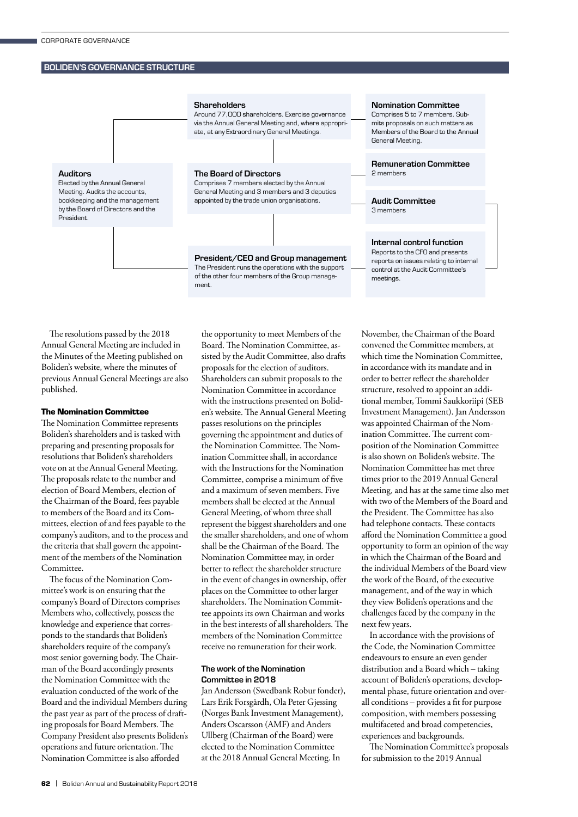#### BOLIDEN'S GOVERNANCE STRUCTURE



The resolutions passed by the 2018 Annual General Meeting are included in the Minutes of the Meeting published on Boliden's website, where the minutes of previous Annual General Meetings are also published.

#### **The Nomination Committee**

The Nomination Committee represents Boliden's shareholders and is tasked with preparing and presenting proposals for resolutions that Boliden's shareholders vote on at the Annual General Meeting. The proposals relate to the number and election of Board Members, election of the Chairman of the Board, fees payable to members of the Board and its Committees, election of and fees payable to the company's auditors, and to the process and the criteria that shall govern the appointment of the members of the Nomination Committee.

The focus of the Nomination Committee's work is on ensuring that the company's Board of Directors comprises Members who, collectively, possess the knowledge and experience that corresponds to the standards that Boliden's shareholders require of the company's most senior governing body. The Chairman of the Board accordingly presents the Nomination Committee with the evaluation conducted of the work of the Board and the individual Members during the past year as part of the process of drafting proposals for Board Members. The Company President also presents Boliden's operations and future orientation. The Nomination Committee is also afforded

the opportunity to meet Members of the Board. The Nomination Committee, assisted by the Audit Committee, also drafts proposals for the election of auditors. Shareholders can submit proposals to the Nomination Committee in accordance with the instructions presented on Boliden's website. The Annual General Meeting passes resolutions on the principles governing the appointment and duties of the Nomination Committee. The Nomination Committee shall, in accordance with the Instructions for the Nomination Committee, comprise a minimum of five and a maximum of seven members. Five members shall be elected at the Annual General Meeting, of whom three shall represent the biggest shareholders and one the smaller shareholders, and one of whom shall be the Chairman of the Board. The Nomination Committee may, in order better to reflect the shareholder structure in the event of changes in ownership, offer places on the Committee to other larger shareholders. The Nomination Committee appoints its own Chairman and works in the best interests of all shareholders. The members of the Nomination Committee receive no remuneration for their work.

#### The work of the Nomination Committee in 2018

Jan Andersson (Swedbank Robur fonder), Lars Erik Forsgårdh, Ola Peter Gjessing (Norges Bank Investment Management), Anders Oscarsson (AMF) and Anders Ullberg (Chairman of the Board) were elected to the Nomination Committee at the 2018 Annual General Meeting. In

November, the Chairman of the Board convened the Committee members, at which time the Nomination Committee, in accordance with its mandate and in order to better reflect the shareholder structure, resolved to appoint an additional member, Tommi Saukkoriipi (SEB Investment Management). Jan Andersson was appointed Chairman of the Nomination Committee. The current composition of the Nomination Committee is also shown on Boliden's website. The Nomination Committee has met three times prior to the 2019 Annual General Meeting, and has at the same time also met with two of the Members of the Board and the President. The Committee has also had telephone contacts. These contacts afford the Nomination Committee a good opportunity to form an opinion of the way in which the Chairman of the Board and the individual Members of the Board view the work of the Board, of the executive management, and of the way in which they view Boliden's operations and the challenges faced by the company in the next few years.

In accordance with the provisions of the Code, the Nomination Committee endeavours to ensure an even gender distribution and a Board which – taking account of Boliden's operations, developmental phase, future orientation and overall conditions – provides a fit for purpose composition, with members possessing multifaceted and broad competencies, experiences and backgrounds.

The Nomination Committee's proposals for submission to the 2019 Annual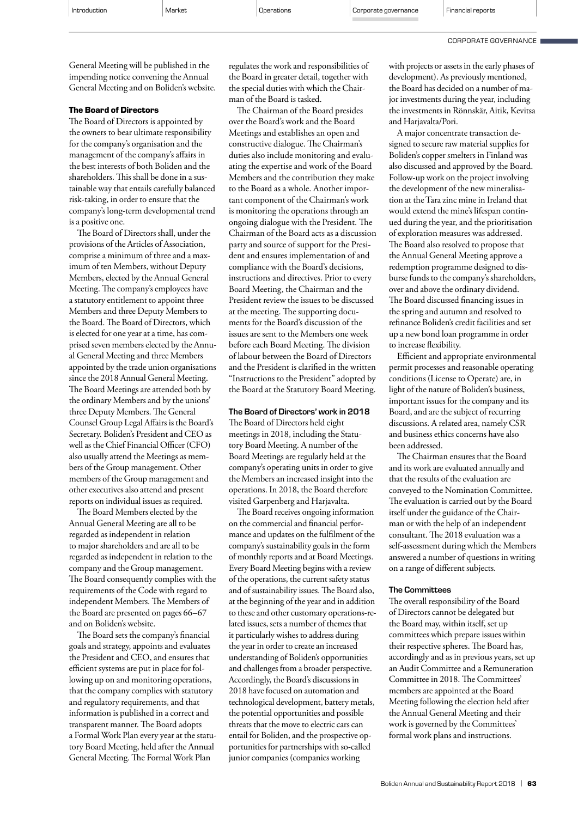| Introduction | Market | Operations | Corporate governance | Financial reports |
|--------------|--------|------------|----------------------|-------------------|
|              |        |            |                      |                   |

#### CORPORATE GOVERNANCE

General Meeting will be published in the impending notice convening the Annual General Meeting and on Boliden's website.

#### **The Board of Directors**

The Board of Directors is appointed by the owners to bear ultimate responsibility for the company's organisation and the management of the company's affairs in the best interests of both Boliden and the shareholders. This shall be done in a sustainable way that entails carefully balanced risk-taking, in order to ensure that the company's long-term developmental trend is a positive one.

The Board of Directors shall, under the provisions of the Articles of Association, comprise a minimum of three and a maximum of ten Members, without Deputy Members, elected by the Annual General Meeting. The company's employees have a statutory entitlement to appoint three Members and three Deputy Members to the Board. The Board of Directors, which is elected for one year at a time, has comprised seven members elected by the Annual General Meeting and three Members appointed by the trade union organisations since the 2018 Annual General Meeting. The Board Meetings are attended both by the ordinary Members and by the unions' three Deputy Members. The General Counsel Group Legal Affairs is the Board's Secretary. Boliden's President and CEO as well as the Chief Financial Officer (CFO) also usually attend the Meetings as members of the Group management. Other members of the Group management and other executives also attend and present reports on individual issues as required.

The Board Members elected by the Annual General Meeting are all to be regarded as independent in relation to major shareholders and are all to be regarded as independent in relation to the company and the Group management. The Board consequently complies with the requirements of the Code with regard to independent Members. The Members of the Board are presented on pages 66–67 and on Boliden's website.

The Board sets the company's financial goals and strategy, appoints and evaluates the President and CEO, and ensures that efficient systems are put in place for following up on and monitoring operations, that the company complies with statutory and regulatory requirements, and that information is published in a correct and transparent manner. The Board adopts a Formal Work Plan every year at the statutory Board Meeting, held after the Annual General Meeting. The Formal Work Plan

regulates the work and responsibilities of the Board in greater detail, together with the special duties with which the Chairman of the Board is tasked.

The Chairman of the Board presides over the Board's work and the Board Meetings and establishes an open and constructive dialogue. The Chairman's duties also include monitoring and evaluating the expertise and work of the Board Members and the contribution they make to the Board as a whole. Another important component of the Chairman's work is monitoring the operations through an ongoing dialogue with the President. The Chairman of the Board acts as a discussion party and source of support for the President and ensures implementation of and compliance with the Board's decisions, instructions and directives. Prior to every Board Meeting, the Chairman and the President review the issues to be discussed at the meeting. The supporting documents for the Board's discussion of the issues are sent to the Members one week before each Board Meeting. The division of labour between the Board of Directors and the President is clarified in the written "Instructions to the President" adopted by the Board at the Statutory Board Meeting.

### The Board of Directors' work in 2018

The Board of Directors held eight meetings in 2018, including the Statutory Board Meeting. A number of the Board Meetings are regularly held at the company's operating units in order to give the Members an increased insight into the operations. In 2018, the Board therefore visited Garpenberg and Harjavalta.

The Board receives ongoing information on the commercial and financial performance and updates on the fulfilment of the company's sustainability goals in the form of monthly reports and at Board Meetings. Every Board Meeting begins with a review of the operations, the current safety status and of sustainability issues. The Board also, at the beginning of the year and in addition to these and other customary operations-related issues, sets a number of themes that it particularly wishes to address during the year in order to create an increased understanding of Boliden's opportunities and challenges from a broader perspective. Accordingly, the Board's discussions in 2018 have focused on automation and technological development, battery metals, the potential opportunities and possible threats that the move to electric cars can entail for Boliden, and the prospective opportunities for partnerships with so-called junior companies (companies working

with projects or assets in the early phases of development). As previously mentioned, the Board has decided on a number of major investments during the year, including the investments in Rönnskär, Aitik, Kevitsa and Harjavalta/Pori.

A major concentrate transaction designed to secure raw material supplies for Boliden's copper smelters in Finland was also discussed and approved by the Board. Follow-up work on the project involving the development of the new mineralisation at the Tara zinc mine in Ireland that would extend the mine's lifespan continued during the year, and the prioritisation of exploration measures was addressed. The Board also resolved to propose that the Annual General Meeting approve a redemption programme designed to disburse funds to the company's shareholders, over and above the ordinary dividend. The Board discussed financing issues in the spring and autumn and resolved to refinance Boliden's credit facilities and set up a new bond loan programme in order to increase flexibility.

Efficient and appropriate environmental permit processes and reasonable operating conditions (License to Operate) are, in light of the nature of Boliden's business, important issues for the company and its Board, and are the subject of recurring discussions. A related area, namely CSR and business ethics concerns have also been addressed.

The Chairman ensures that the Board and its work are evaluated annually and that the results of the evaluation are conveyed to the Nomination Committee. The evaluation is carried out by the Board itself under the guidance of the Chairman or with the help of an independent consultant. The 2018 evaluation was a self-assessment during which the Members answered a number of questions in writing on a range of different subjects.

#### The Committees

The overall responsibility of the Board of Directors cannot be delegated but the Board may, within itself, set up committees which prepare issues within their respective spheres. The Board has, accordingly and as in previous years, set up an Audit Committee and a Remuneration Committee in 2018. The Committees' members are appointed at the Board Meeting following the election held after the Annual General Meeting and their work is governed by the Committees' formal work plans and instructions.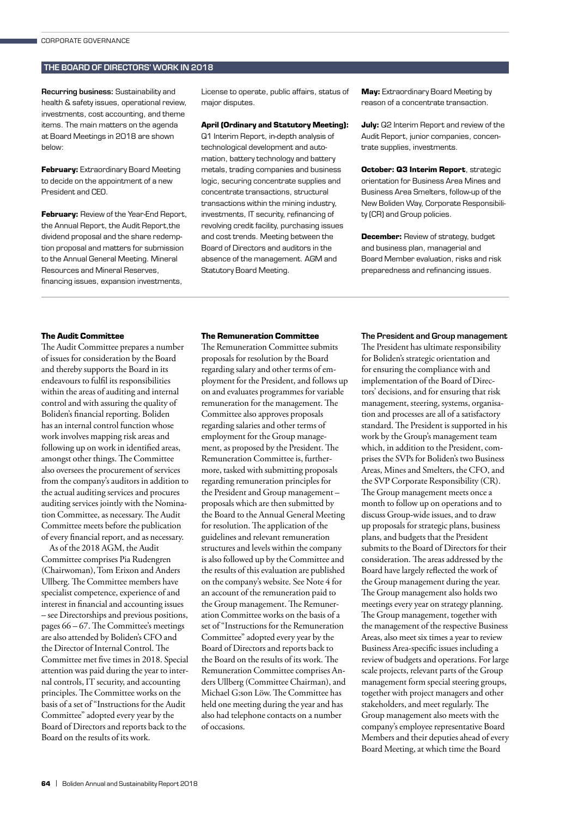#### THE BOARD OF DIRECTORS' WORK IN 2018

Recurring business: Sustainability and health & safety issues, operational review, investments, cost accounting, and theme items. The main matters on the agenda at Board Meetings in 2018 are shown below:

**February:** Extraordinary Board Meeting to decide on the appointment of a new President and CEO.

**February: Review of the Year-End Report,** the Annual Report, the Audit Report,the dividend proposal and the share redemption proposal and matters for submission to the Annual General Meeting. Mineral Resources and Mineral Reserves, financing issues, expansion investments,

License to operate, public affairs, status of major disputes.

#### **April (Ordinary and Statutory Meeting):**

Q1 Interim Report, in-depth analysis of technological development and automation, battery technology and battery metals, trading companies and business logic, securing concentrate supplies and concentrate transactions, structural transactions within the mining industry, investments, IT security, refinancing of revolving credit facility, purchasing issues and cost trends. Meeting between the Board of Directors and auditors in the absence of the management. AGM and Statutory Board Meeting.

**May:** Extraordinary Board Meeting by reason of a concentrate transaction.

**July:** Q2 Interim Report and review of the Audit Report, junior companies, concentrate supplies, investments.

**October: Q3 Interim Report**, strategic orientation for Business Area Mines and Business Area Smelters, follow-up of the New Boliden Way, Corporate Responsibility (CR) and Group policies.

**December:** Review of strategy, budget and business plan, managerial and Board Member evaluation, risks and risk preparedness and refinancing issues.

#### **The Audit Committee**

The Audit Committee prepares a number of issues for consideration by the Board and thereby supports the Board in its endeavours to fulfil its responsibilities within the areas of auditing and internal control and with assuring the quality of Boliden's financial reporting. Boliden has an internal control function whose work involves mapping risk areas and following up on work in identified areas, amongst other things. The Committee also oversees the procurement of services from the company's auditors in addition to the actual auditing services and procures auditing services jointly with the Nomination Committee, as necessary. The Audit Committee meets before the publication of every financial report, and as necessary.

As of the 2018 AGM, the Audit Committee comprises Pia Rudengren (Chairwoman), Tom Erixon and Anders Ullberg. The Committee members have specialist competence, experience of and interest in financial and accounting issues – see Directorships and previous positions, pages 66 – 67. The Committee's meetings are also attended by Boliden's CFO and the Director of Internal Control. The Committee met five times in 2018. Special attention was paid during the year to internal controls, IT security, and accounting principles. The Committee works on the basis of a set of "Instructions for the Audit Committee" adopted every year by the Board of Directors and reports back to the Board on the results of its work.

#### **The Remuneration Committee**

The Remuneration Committee submits proposals for resolution by the Board regarding salary and other terms of employment for the President, and follows up on and evaluates programmes for variable remuneration for the management. The Committee also approves proposals regarding salaries and other terms of employment for the Group management, as proposed by the President. The Remuneration Committee is, furthermore, tasked with submitting proposals regarding remuneration principles for the President and Group management – proposals which are then submitted by the Board to the Annual General Meeting for resolution. The application of the guidelines and relevant remuneration structures and levels within the company is also followed up by the Committee and the results of this evaluation are published on the company's website. See Note 4 for an account of the remuneration paid to the Group management. The Remuneration Committee works on the basis of a set of "Instructions for the Remuneration Committee" adopted every year by the Board of Directors and reports back to the Board on the results of its work. The Remuneration Committee comprises Anders Ullberg (Committee Chairman), and Michael G:son Löw. The Committee has held one meeting during the year and has also had telephone contacts on a number of occasions.

#### The President and Group management

The President has ultimate responsibility for Boliden's strategic orientation and for ensuring the compliance with and implementation of the Board of Directors' decisions, and for ensuring that risk management, steering, systems, organisation and processes are all of a satisfactory standard. The President is supported in his work by the Group's management team which, in addition to the President, comprises the SVPs for Boliden's two Business Areas, Mines and Smelters, the CFO, and the SVP Corporate Responsibility (CR). The Group management meets once a month to follow up on operations and to discuss Group-wide issues, and to draw up proposals for strategic plans, business plans, and budgets that the President submits to the Board of Directors for their consideration. The areas addressed by the Board have largely reflected the work of the Group management during the year. The Group management also holds two meetings every year on strategy planning. The Group management, together with the management of the respective Business Areas, also meet six times a year to review Business Area-specific issues including a review of budgets and operations. For large scale projects, relevant parts of the Group management form special steering groups, together with project managers and other stakeholders, and meet regularly. The Group management also meets with the company's employee representative Board Members and their deputies ahead of every Board Meeting, at which time the Board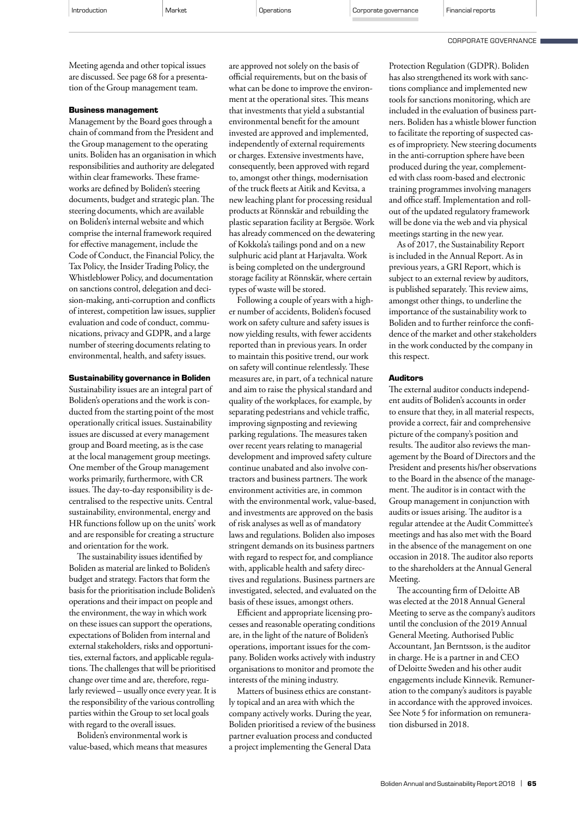CORPORATE GOVERNANCE

Meeting agenda and other topical issues are discussed. See page 68 for a presentation of the Group management team.

#### **Business management**

Management by the Board goes through a chain of command from the President and the Group management to the operating units. Boliden has an organisation in which responsibilities and authority are delegated within clear frameworks. These frameworks are defined by Boliden's steering documents, budget and strategic plan. The steering documents, which are available on Boliden's internal website and which comprise the internal framework required for effective management, include the Code of Conduct, the Financial Policy, the Tax Policy, the Insider Trading Policy, the Whistleblower Policy, and documentation on sanctions control, delegation and decision-making, anti-corruption and conflicts of interest, competition law issues, supplier evaluation and code of conduct, communications, privacy and GDPR, and a large number of steering documents relating to environmental, health, and safety issues.

#### **Sustainability governance in Boliden**

Sustainability issues are an integral part of Boliden's operations and the work is conducted from the starting point of the most operationally critical issues. Sustainability issues are discussed at every management group and Board meeting, as is the case at the local management group meetings. One member of the Group management works primarily, furthermore, with CR issues. The day-to-day responsibility is decentralised to the respective units. Central sustainability, environmental, energy and HR functions follow up on the units' work and are responsible for creating a structure and orientation for the work.

The sustainability issues identified by Boliden as material are linked to Boliden's budget and strategy. Factors that form the basis for the prioritisation include Boliden's operations and their impact on people and the environment, the way in which work on these issues can support the operations, expectations of Boliden from internal and external stakeholders, risks and opportunities, external factors, and applicable regulations. The challenges that will be prioritised change over time and are, therefore, regularly reviewed – usually once every year. It is the responsibility of the various controlling parties within the Group to set local goals with regard to the overall issues.

Boliden's environmental work is value-based, which means that measures are approved not solely on the basis of official requirements, but on the basis of what can be done to improve the environment at the operational sites. This means that investments that yield a substantial environmental benefit for the amount invested are approved and implemented, independently of external requirements or charges. Extensive investments have, consequently, been approved with regard to, amongst other things, modernisation of the truck fleets at Aitik and Kevitsa, a new leaching plant for processing residual products at Rönnskär and rebuilding the plastic separation facility at Bergsöe. Work has already commenced on the dewatering of Kokkola's tailings pond and on a new sulphuric acid plant at Harjavalta. Work is being completed on the underground storage facility at Rönnskär, where certain types of waste will be stored.

Following a couple of years with a higher number of accidents, Boliden's focused work on safety culture and safety issues is now yielding results, with fewer accidents reported than in previous years. In order to maintain this positive trend, our work on safety will continue relentlessly. These measures are, in part, of a technical nature and aim to raise the physical standard and quality of the workplaces, for example, by separating pedestrians and vehicle traffic, improving signposting and reviewing parking regulations. The measures taken over recent years relating to managerial development and improved safety culture continue unabated and also involve contractors and business partners. The work environment activities are, in common with the environmental work, value-based, and investments are approved on the basis of risk analyses as well as of mandatory laws and regulations. Boliden also imposes stringent demands on its business partners with regard to respect for, and compliance with, applicable health and safety directives and regulations. Business partners are investigated, selected, and evaluated on the basis of these issues, amongst others.

Efficient and appropriate licensing processes and reasonable operating conditions are, in the light of the nature of Boliden's operations, important issues for the company. Boliden works actively with industry organisations to monitor and promote the interests of the mining industry.

Matters of business ethics are constantly topical and an area with which the company actively works. During the year, Boliden prioritised a review of the business partner evaluation process and conducted a project implementing the General Data

Protection Regulation (GDPR). Boliden has also strengthened its work with sanctions compliance and implemented new tools for sanctions monitoring, which are included in the evaluation of business partners. Boliden has a whistle blower function to facilitate the reporting of suspected cases of impropriety. New steering documents in the anti-corruption sphere have been produced during the year, complemented with class room-based and electronic training programmes involving managers and office staff. Implementation and rollout of the updated regulatory framework will be done via the web and via physical meetings starting in the new year.

As of 2017, the Sustainability Report is included in the Annual Report. As in previous years, a GRI Report, which is subject to an external review by auditors, is published separately. This review aims, amongst other things, to underline the importance of the sustainability work to Boliden and to further reinforce the confidence of the market and other stakeholders in the work conducted by the company in this respect.

#### **Auditors**

The external auditor conducts independent audits of Boliden's accounts in order to ensure that they, in all material respects, provide a correct, fair and comprehensive picture of the company's position and results. The auditor also reviews the management by the Board of Directors and the President and presents his/her observations to the Board in the absence of the management. The auditor is in contact with the Group management in conjunction with audits or issues arising. The auditor is a regular attendee at the Audit Committee's meetings and has also met with the Board in the absence of the management on one occasion in 2018. The auditor also reports to the shareholders at the Annual General Meeting.

The accounting firm of Deloitte AB was elected at the 2018 Annual General Meeting to serve as the company's auditors until the conclusion of the 2019 Annual General Meeting. Authorised Public Accountant, Jan Berntsson, is the auditor in charge. He is a partner in and CEO of Deloitte Sweden and his other audit engagements include Kinnevik. Remuneration to the company's auditors is payable in accordance with the approved invoices. See Note 5 for information on remuneration disbursed in 2018.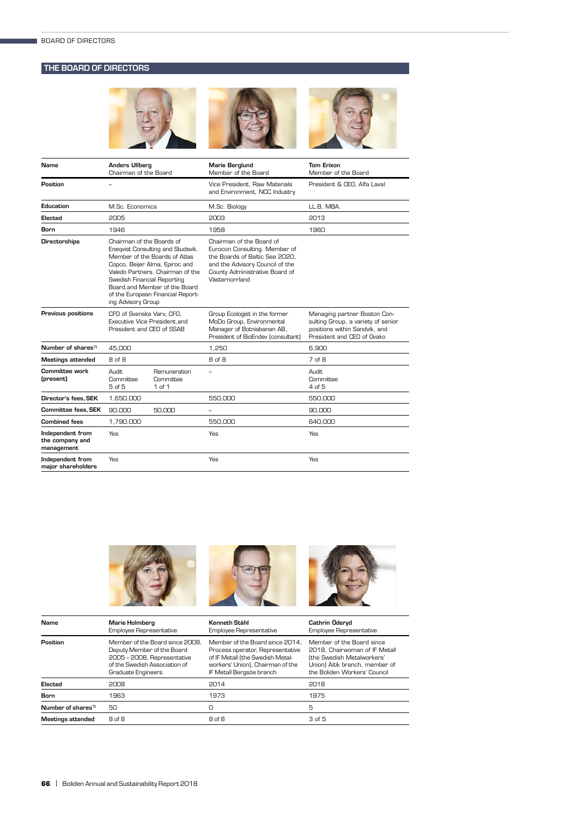## THE BOARD OF DIRECTORS



| Name                                              | <b>Anders Ullberg</b><br>Chairman of the Board                                 |                                                                                                                                                                                                                 | <b>Marie Berglund</b><br>Member of the Board                                                                                                                                       | <b>Tom Erixon</b><br>Member of the Board                                                                                          |
|---------------------------------------------------|--------------------------------------------------------------------------------|-----------------------------------------------------------------------------------------------------------------------------------------------------------------------------------------------------------------|------------------------------------------------------------------------------------------------------------------------------------------------------------------------------------|-----------------------------------------------------------------------------------------------------------------------------------|
| Position                                          |                                                                                |                                                                                                                                                                                                                 | Vice President. Raw Materials<br>and Environment, NCC Industry                                                                                                                     | President & CEO, Alfa Laval                                                                                                       |
| Education                                         | M.Sc. Economics                                                                |                                                                                                                                                                                                                 | M.Sc. Biology                                                                                                                                                                      | LL.B, MBA.                                                                                                                        |
| Elected                                           | 2005                                                                           |                                                                                                                                                                                                                 | 2003                                                                                                                                                                               | 2013                                                                                                                              |
| <b>Born</b>                                       | 1946                                                                           |                                                                                                                                                                                                                 | 1958                                                                                                                                                                               | 1960                                                                                                                              |
| Directorships                                     | Chairman of the Boards of<br>Swedish Financial Reporting<br>ing Advisory Group | Eneqvist Consulting and Studsvik.<br>Member of the Boards of Atlas<br>Copco, Beijer Alma, Epiroc and<br>Valedo Partners. Chairman of the<br>Board, and Member of the Board<br>of the European Financial Report- | Chairman of the Board of<br>Eurocon Consulting. Member of<br>the Boards of Baltic Sea 2020.<br>and the Advisory Council of the<br>County Administrative Board of<br>Västernorrland |                                                                                                                                   |
| Previous positions                                | CFO of Svenska Varv. CFO.<br>President and CEO of SSAB                         | Executive Vice President.and                                                                                                                                                                                    | Group Ecologist in the former<br>MoDo Group, Environmental<br>Manager of Botniabanan AB,<br>President of BioEndev (consultant)                                                     | Managing partner Boston Con-<br>sulting Group, a variety of senior<br>positions within Sandvik, and<br>President and CEO of Ovako |
| Number of shares <sup>1)</sup>                    | 45,000                                                                         |                                                                                                                                                                                                                 | 1,250                                                                                                                                                                              | 6,900                                                                                                                             |
| <b>Meetings attended</b>                          | 8 of 8                                                                         |                                                                                                                                                                                                                 | 8 of 8                                                                                                                                                                             | 7 of 8                                                                                                                            |
| Committee work<br>(present)                       | Audit.<br>Committee<br>5 of 5                                                  | Remuneration<br>Committee<br>1 of 1                                                                                                                                                                             |                                                                                                                                                                                    | Audit.<br>Committee<br>4 of 5                                                                                                     |
| Director's fees, SEK                              | 1,650,000                                                                      |                                                                                                                                                                                                                 | 550,000                                                                                                                                                                            | 550,000                                                                                                                           |
| <b>Committee fees, SEK</b>                        | 90,000                                                                         | 50,000                                                                                                                                                                                                          | -                                                                                                                                                                                  | 90,000                                                                                                                            |
| <b>Combined fees</b>                              | 1,790,000                                                                      |                                                                                                                                                                                                                 | 550,000                                                                                                                                                                            | 640,000                                                                                                                           |
| Independent from<br>the company and<br>management | Yes                                                                            |                                                                                                                                                                                                                 | Yes                                                                                                                                                                                | Yes                                                                                                                               |
| Independent from<br>maior shareholders            | Yes                                                                            |                                                                                                                                                                                                                 | Yes                                                                                                                                                                                | Yes                                                                                                                               |



| Name                           | Marie Holmberg<br>Employee Representative                                                                                                           | Kenneth Ståhl<br>Employee Representative                                                                                                                                | Cathrin Öderyd<br>Employee Representative                                                                                                                  |
|--------------------------------|-----------------------------------------------------------------------------------------------------------------------------------------------------|-------------------------------------------------------------------------------------------------------------------------------------------------------------------------|------------------------------------------------------------------------------------------------------------------------------------------------------------|
| Position                       | Member of the Board since 2008.<br>Deputy Member of the Board<br>2005 - 2008, Representative<br>of the Swedish Association of<br>Graduate Engineers | Member of the Board since 2014.<br>Process operator, Representative<br>of IF Metall (the Swedish Metal-<br>workers' Union), Chairman of the<br>IF Metall Bergsöe branch | Member of the Board since<br>2018. Chairwoman of IF Metall<br>fthe Swedish Metalworkers'<br>Union) Aitik branch, member of<br>the Boliden Workers' Council |
| Elected                        | 2008                                                                                                                                                | 2014                                                                                                                                                                    | 2018                                                                                                                                                       |
| <b>Born</b>                    | 1963                                                                                                                                                | 1973                                                                                                                                                                    | 1975                                                                                                                                                       |
| Number of shares <sup>1)</sup> | 50                                                                                                                                                  | 0                                                                                                                                                                       | 5                                                                                                                                                          |
| <b>Meetings attended</b>       | 8 of 8                                                                                                                                              | 8 of 8                                                                                                                                                                  | 3 of 5                                                                                                                                                     |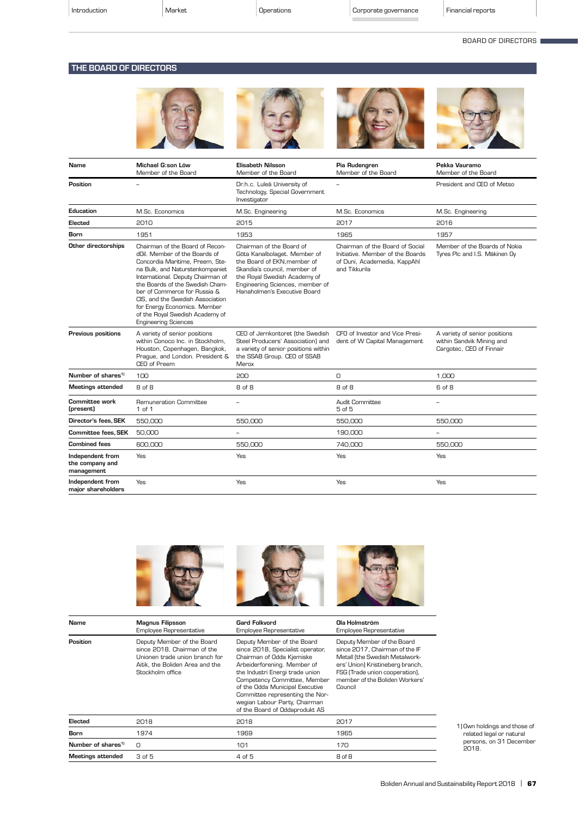#### BOARD OF DIRECTORS

## THE BOARD OF DIRECTORS



| Name                                              | Michael G:son Löw<br>Member of the Board                                                                                                                                                                                                                                                                                                                                             | <b>Elisabeth Nilsson</b><br>Member of the Board                                                                                                                                                                            | Pia Rudengren<br>Member of the Board                                                                                 | Pekka Vauramo<br>Member of the Board                                                   |
|---------------------------------------------------|--------------------------------------------------------------------------------------------------------------------------------------------------------------------------------------------------------------------------------------------------------------------------------------------------------------------------------------------------------------------------------------|----------------------------------------------------------------------------------------------------------------------------------------------------------------------------------------------------------------------------|----------------------------------------------------------------------------------------------------------------------|----------------------------------------------------------------------------------------|
| Position                                          |                                                                                                                                                                                                                                                                                                                                                                                      | Dr.h.c. Luleå University of<br>Technology, Special Government<br>Investigator                                                                                                                                              |                                                                                                                      | President and CEO of Metso                                                             |
| Education                                         | M.Sc. Economics                                                                                                                                                                                                                                                                                                                                                                      | M.Sc. Engineering                                                                                                                                                                                                          | M.Sc. Economics                                                                                                      | M.Sc. Engineering                                                                      |
| Elected                                           | 2010                                                                                                                                                                                                                                                                                                                                                                                 | 2015                                                                                                                                                                                                                       | 2017                                                                                                                 | 2016                                                                                   |
| Born                                              | 1951                                                                                                                                                                                                                                                                                                                                                                                 | 1953                                                                                                                                                                                                                       | 1965                                                                                                                 | 1957                                                                                   |
| Other directorships                               | Chairman of the Board of Recon-<br>dOil. Member of the Boards of<br>Concordia Maritime, Preem, Ste-<br>na Bulk, and Naturstenkompaniet<br>International. Deputy Chairman of<br>the Boards of the Swedish Cham-<br>ber of Commerce for Russia &<br>CIS, and the Swedish Association<br>for Energy Economics. Member<br>of the Royal Swedish Academy of<br><b>Engineering Sciences</b> | Chairman of the Board of<br>Göta Kanalbolaget. Member of<br>the Board of EKN, member of<br>Skandia's council, member of<br>the Royal Swedish Academy of<br>Engineering Sciences, member of<br>Hanaholmen's Executive Board | Chairman of the Board of Social<br>Initiative. Member of the Boards<br>of Duni, Academedia, KappAhl<br>and Tikkurila | Member of the Boards of Nokia<br>Tyres Plc and I.S. Mäkinen Oy                         |
| <b>Previous positions</b>                         | A variety of senior positions<br>within Conoco Inc. in Stockholm.<br>Houston, Copenhagen, Bangkok,<br>Praque, and London. President &<br>CEO of Preem                                                                                                                                                                                                                                | CEO of Jernkontoret (the Swedish<br>Steel Producers' Association) and<br>a variety of senior positions within<br>the SSAB Group. CEO of SSAB<br>Merox                                                                      | CFO of Investor and Vice Presi-<br>dent of W Capital Management                                                      | A variety of senior positions<br>within Sandvik Mining and<br>Cargotec, CEO of Finnair |
| Number of shares <sup>1)</sup>                    | 100                                                                                                                                                                                                                                                                                                                                                                                  | 200                                                                                                                                                                                                                        | 0                                                                                                                    | 1.000                                                                                  |
| <b>Meetings attended</b>                          | 8 of 8                                                                                                                                                                                                                                                                                                                                                                               | 8 of 8                                                                                                                                                                                                                     | 8 of 8                                                                                                               | 6 of 8                                                                                 |
| <b>Committee work</b><br>(present)                | <b>Remuneration Committee</b><br>1 of 1                                                                                                                                                                                                                                                                                                                                              |                                                                                                                                                                                                                            | Audit Committee<br>5 of 5                                                                                            |                                                                                        |
| Director's fees. SEK                              | 550,000                                                                                                                                                                                                                                                                                                                                                                              | 550,000                                                                                                                                                                                                                    | 550,000                                                                                                              | 550,000                                                                                |
| Committee fees, SEK                               | 50,000                                                                                                                                                                                                                                                                                                                                                                               | -                                                                                                                                                                                                                          | 190,000                                                                                                              |                                                                                        |
| <b>Combined fees</b>                              | 600,000                                                                                                                                                                                                                                                                                                                                                                              | 550,000                                                                                                                                                                                                                    | 740,000                                                                                                              | 550,000                                                                                |
| Independent from<br>the company and<br>management | Yes                                                                                                                                                                                                                                                                                                                                                                                  | Yes                                                                                                                                                                                                                        | Yes                                                                                                                  | Yes                                                                                    |
| Independent from<br>major shareholders            | Yes                                                                                                                                                                                                                                                                                                                                                                                  | Yes                                                                                                                                                                                                                        | Yes                                                                                                                  | <b>Yes</b>                                                                             |



| Name                           | <b>Magnus Filipsson</b><br>Employee Representative                                                                                                 | <b>Gard Folkvord</b><br>Employee Representative                                                                                                                                                                                                                                                                                        | Ola Holmström<br>Employee Representative                                                                                                                                                                          |
|--------------------------------|----------------------------------------------------------------------------------------------------------------------------------------------------|----------------------------------------------------------------------------------------------------------------------------------------------------------------------------------------------------------------------------------------------------------------------------------------------------------------------------------------|-------------------------------------------------------------------------------------------------------------------------------------------------------------------------------------------------------------------|
| Position                       | Deputy Member of the Board<br>since 2018, Chairman of the<br>Unionen trade union branch for<br>Aitik, the Boliden Area and the<br>Stockholm office | Deputy Member of the Board<br>since 2018, Specialist operator,<br>Chairman of Odda Kjemiske<br>Arbeiderforening. Member of<br>the Industri Energi trade union<br>Competency Committee, Member<br>of the Odda Municipal Executive<br>Committee representing the Nor-<br>wegian Labour Party, Chairman<br>of the Board of Oddaprodukt AS | Deputy Member of the Board<br>since 2017, Chairman of the IF<br>Metall (the Swedish Metalwork-<br>ers' Union) Kristineberg branch,<br>FSG (Trade union cooperation),<br>member of the Boliden Workers'<br>Council |
| Elected                        | 2018                                                                                                                                               | 2018                                                                                                                                                                                                                                                                                                                                   | 2017                                                                                                                                                                                                              |
| Born                           | 1974                                                                                                                                               | 1969                                                                                                                                                                                                                                                                                                                                   | 1965                                                                                                                                                                                                              |
| Number of shares <sup>1)</sup> | O                                                                                                                                                  | 101                                                                                                                                                                                                                                                                                                                                    | 170                                                                                                                                                                                                               |
| Meetings attended              | 3 of 5                                                                                                                                             | 4 of 5                                                                                                                                                                                                                                                                                                                                 | 8 of 8                                                                                                                                                                                                            |
|                                |                                                                                                                                                    |                                                                                                                                                                                                                                                                                                                                        |                                                                                                                                                                                                                   |

1) Own holdings and those of related legal or natural persons, on 31 December 2018.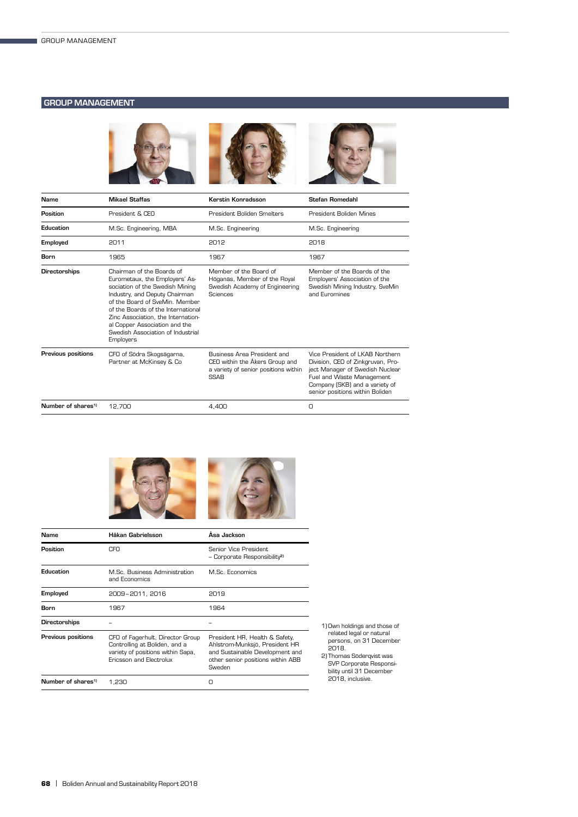## GROUP MANAGEMENT



| Mikael Staffas                                                                                                                                                                                                                                                                                                                   | Kerstin Konradsson                                                                                                   | <b>Stefan Romedahl</b>                                                                                                                                                                                    |
|----------------------------------------------------------------------------------------------------------------------------------------------------------------------------------------------------------------------------------------------------------------------------------------------------------------------------------|----------------------------------------------------------------------------------------------------------------------|-----------------------------------------------------------------------------------------------------------------------------------------------------------------------------------------------------------|
| President & CEO                                                                                                                                                                                                                                                                                                                  | President Boliden Smelters                                                                                           | President Boliden Mines                                                                                                                                                                                   |
| M.Sc. Engineering, MBA                                                                                                                                                                                                                                                                                                           | M.Sc. Engineering                                                                                                    | M.Sc. Engineering                                                                                                                                                                                         |
| 2011                                                                                                                                                                                                                                                                                                                             | 2012                                                                                                                 | 2018                                                                                                                                                                                                      |
| 1965                                                                                                                                                                                                                                                                                                                             | 1967                                                                                                                 | 1967                                                                                                                                                                                                      |
| Chairman of the Boards of<br>Eurometaux, the Employers' As-<br>sociation of the Swedish Mining<br>Industry, and Deputy Chairman<br>of the Board of SveMin. Member<br>of the Boards of the International<br>Zinc Association, the Internation-<br>al Copper Association and the<br>Swedish Association of Industrial<br>Employers | Member of the Board of<br>Höganäs, Member of the Royal<br>Swedish Academy of Engineering<br>Sciences                 | Member of the Boards of the<br>Employers' Association of the<br>Swedish Mining Industry, SveMin<br>and Euromines                                                                                          |
| CFO of Södra Skogsägarna,<br>Partner at McKinsey & Co                                                                                                                                                                                                                                                                            | Business Area President and<br>CEO within the Akers Group and<br>a variety of senior positions within<br><b>SSAB</b> | Vice President of LKAB Northern<br>Division, CEO of Zinkgruvan, Pro-<br>ject Manager of Swedish Nuclear<br>Fuel and Waste Management<br>Company (SKB) and a variety of<br>senior positions within Boliden |
| 12.700                                                                                                                                                                                                                                                                                                                           | 4.400                                                                                                                | $\Omega$                                                                                                                                                                                                  |
|                                                                                                                                                                                                                                                                                                                                  |                                                                                                                      |                                                                                                                                                                                                           |





| Name                           | Håkan Gabrielsson                                                                                                                 | Ása Jackson                                                                                                                                        |
|--------------------------------|-----------------------------------------------------------------------------------------------------------------------------------|----------------------------------------------------------------------------------------------------------------------------------------------------|
| Position                       | CFO.                                                                                                                              | Senior Vice President.<br>- Corporate Responsibility <sup>2)</sup>                                                                                 |
| Education                      | M.Sc. Business Administration<br>and Economics                                                                                    | M.Sc. Economics                                                                                                                                    |
| Employed                       | 2009-2011, 2016                                                                                                                   | 2019                                                                                                                                               |
| Born                           | 1967                                                                                                                              | 1964                                                                                                                                               |
| Directorships                  |                                                                                                                                   |                                                                                                                                                    |
| Previous positions             | CFO of Fagerhult, Director Group<br>Controlling at Boliden, and a<br>variety of positions within Sapa,<br>Ericsson and Electrolux | President HR, Health & Safety,<br>Ahlstrom-Munksjö, President HR<br>and Sustainable Development and<br>other senior positions within ABB<br>Sweden |
| Number of shares <sup>1)</sup> | 1,230                                                                                                                             | Ο                                                                                                                                                  |

- 1) Own holdings and those of related legal or natural persons, on 31 December 2018.
- 2) Thomas Söderqvist was SVP Corporate Responsi-bility until 31 December 2018, inclusive.